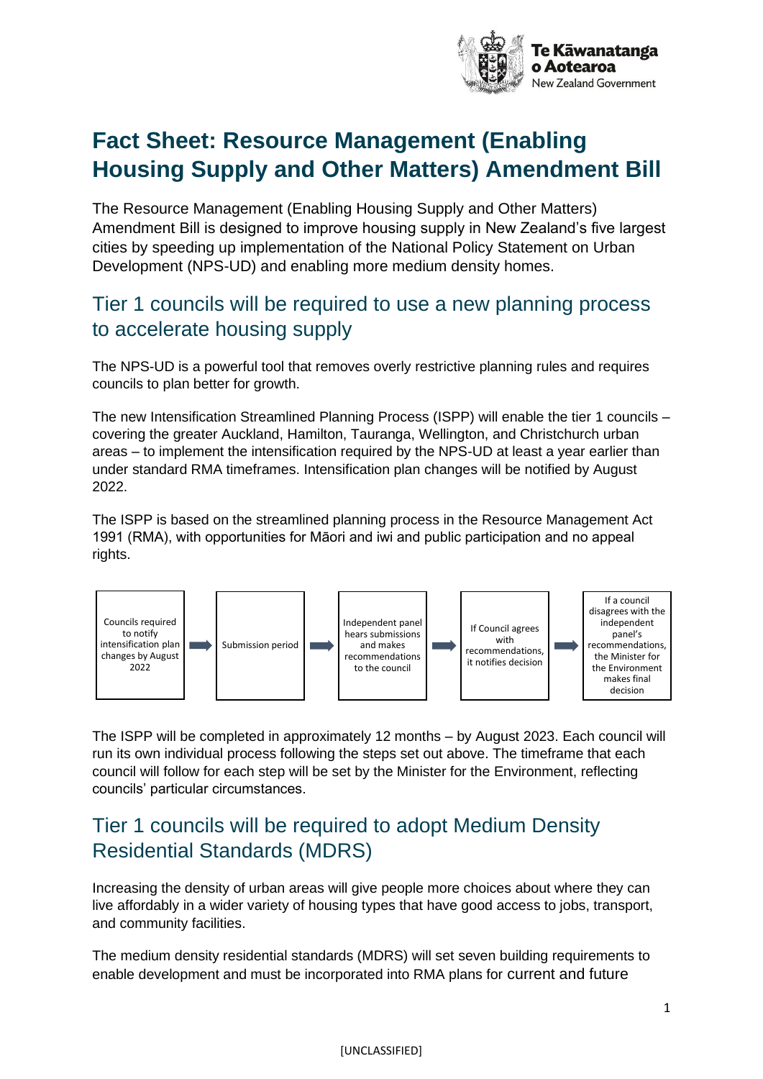

# **Fact Sheet: Resource Management (Enabling Housing Supply and Other Matters) Amendment Bill**

The Resource Management (Enabling Housing Supply and Other Matters) Amendment Bill is designed to improve housing supply in New Zealand's five largest cities by speeding up implementation of the National Policy Statement on Urban Development (NPS-UD) and enabling more medium density homes.

#### Tier 1 councils will be required to use a new planning process to accelerate housing supply

The NPS-UD is a powerful tool that removes overly restrictive planning rules and requires councils to plan better for growth.

The new Intensification Streamlined Planning Process (ISPP) will enable the tier 1 councils – covering the greater Auckland, Hamilton, Tauranga, Wellington, and Christchurch urban areas – to implement the intensification required by the NPS-UD at least a year earlier than under standard RMA timeframes. Intensification plan changes will be notified by August 2022.

The ISPP is based on the streamlined planning process in the Resource Management Act 1991 (RMA), with opportunities for Māori and iwi and public participation and no appeal rights.



The ISPP will be completed in approximately 12 months – by August 2023. Each council will run its own individual process following the steps set out above. The timeframe that each council will follow for each step will be set by the Minister for the Environment, reflecting councils' particular circumstances.

#### Tier 1 councils will be required to adopt Medium Density Residential Standards (MDRS)

Increasing the density of urban areas will give people more choices about where they can live affordably in a wider variety of housing types that have good access to jobs, transport, and community facilities.

The medium density residential standards (MDRS) will set seven building requirements to enable development and must be incorporated into RMA plans for current and future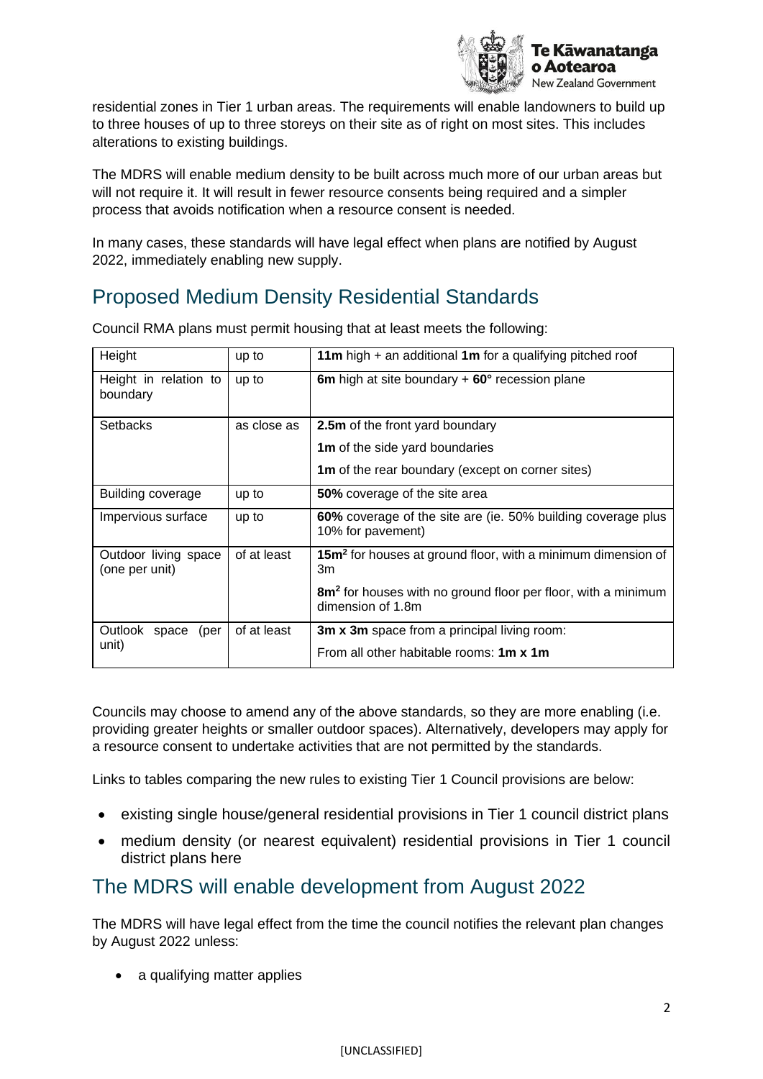

residential zones in Tier 1 urban areas. The requirements will enable landowners to build up to three houses of up to three storeys on their site as of right on most sites. This includes alterations to existing buildings.

The MDRS will enable medium density to be built across much more of our urban areas but will not require it. It will result in fewer resource consents being required and a simpler process that avoids notification when a resource consent is needed.

In many cases, these standards will have legal effect when plans are notified by August 2022, immediately enabling new supply.

# Proposed Medium Density Residential Standards

| Height                                 | up to       | 11 $m$ high + an additional 1 $m$ for a qualifying pitched roof                                |
|----------------------------------------|-------------|------------------------------------------------------------------------------------------------|
| Height in relation to<br>boundary      | up to       | 6m high at site boundary $+60^\circ$ recession plane                                           |
| Setbacks                               | as close as | 2.5m of the front yard boundary                                                                |
|                                        |             | <b>1m</b> of the side yard boundaries                                                          |
|                                        |             | <b>1m</b> of the rear boundary (except on corner sites)                                        |
| <b>Building coverage</b>               | up to       | 50% coverage of the site area                                                                  |
| Impervious surface                     | up to       | 60% coverage of the site are (ie. 50% building coverage plus<br>10% for pavement)              |
| Outdoor living space<br>(one per unit) | of at least | 15m <sup>2</sup> for houses at ground floor, with a minimum dimension of<br>3m                 |
|                                        |             | 8m <sup>2</sup> for houses with no ground floor per floor, with a minimum<br>dimension of 1.8m |
| Outlook space<br>(per                  | of at least | 3m x 3m space from a principal living room:                                                    |
| unit)                                  |             | From all other habitable rooms: 1m x 1m                                                        |

Council RMA plans must permit housing that at least meets the following:

Councils may choose to amend any of the above standards, so they are more enabling (i.e. providing greater heights or smaller outdoor spaces). Alternatively, developers may apply for a resource consent to undertake activities that are not permitted by the standards.

Links to tables comparing the new rules to existing Tier 1 Council provisions are below:

- existing single house/general residential provisions in Tier 1 council district plans
- medium density (or nearest equivalent) residential provisions in Tier 1 council district plans here

#### The MDRS will enable development from August 2022

The MDRS will have legal effect from the time the council notifies the relevant plan changes by August 2022 unless:

• a qualifying matter applies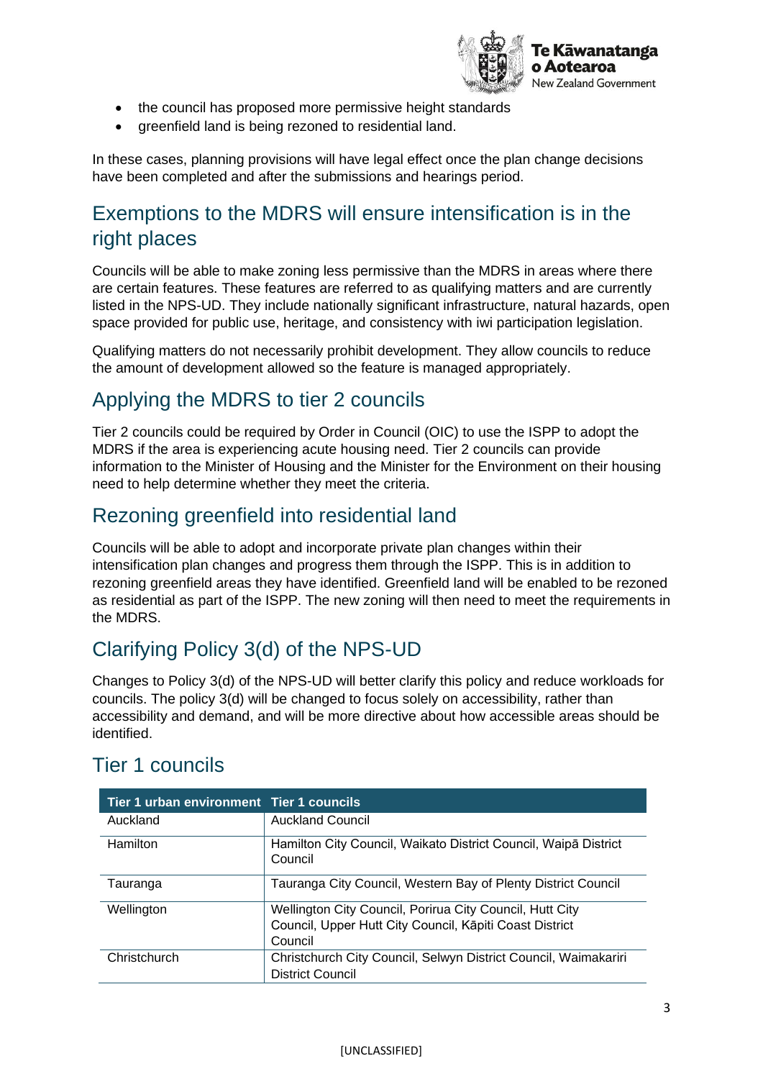

- the council has proposed more permissive height standards
- greenfield land is being rezoned to residential land.

In these cases, planning provisions will have legal effect once the plan change decisions have been completed and after the submissions and hearings period.

### Exemptions to the MDRS will ensure intensification is in the right places

Councils will be able to make zoning less permissive than the MDRS in areas where there are certain features. These features are referred to as qualifying matters and are currently listed in the NPS-UD. They include nationally significant infrastructure, natural hazards, open space provided for public use, heritage, and consistency with iwi participation legislation.

Qualifying matters do not necessarily prohibit development. They allow councils to reduce the amount of development allowed so the feature is managed appropriately.

#### Applying the MDRS to tier 2 councils

Tier 2 councils could be required by Order in Council (OIC) to use the ISPP to adopt the MDRS if the area is experiencing acute housing need. Tier 2 councils can provide information to the Minister of Housing and the Minister for the Environment on their housing need to help determine whether they meet the criteria.

#### Rezoning greenfield into residential land

Councils will be able to adopt and incorporate private plan changes within their intensification plan changes and progress them through the ISPP. This is in addition to rezoning greenfield areas they have identified. Greenfield land will be enabled to be rezoned as residential as part of the ISPP. The new zoning will then need to meet the requirements in the MDRS.

## Clarifying Policy 3(d) of the NPS-UD

Changes to Policy 3(d) of the NPS-UD will better clarify this policy and reduce workloads for councils. The policy 3(d) will be changed to focus solely on accessibility, rather than accessibility and demand, and will be more directive about how accessible areas should be identified.

| Tier 1 urban environment Tier 1 councils |                                                                            |
|------------------------------------------|----------------------------------------------------------------------------|
| Auckland                                 | <b>Auckland Council</b>                                                    |
| Hamilton                                 | Hamilton City Council, Waikato District Council, Waipa District<br>Council |
| Tauranga                                 | Tauranga City Council, Western Bay of Plenty District Council              |
| Wellington                               | Wellington City Council, Porirua City Council, Hutt City                   |
|                                          | Council, Upper Hutt City Council, Kāpiti Coast District                    |
|                                          | Council                                                                    |
| Christchurch                             | Christchurch City Council, Selwyn District Council, Waimakariri            |
|                                          | <b>District Council</b>                                                    |

#### Tier 1 councils